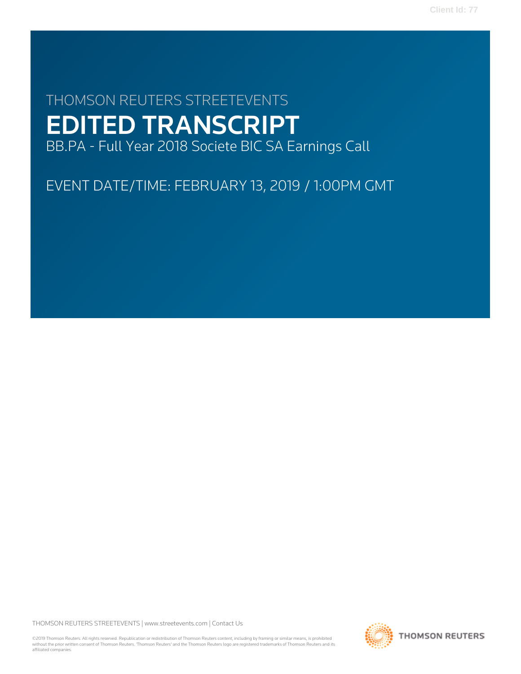# THOMSON REUTERS STREETEVENTS EDITED TRANSCRIPT BB.PA - Full Year 2018 Societe BIC SA Earnings Call

EVENT DATE/TIME: FEBRUARY 13, 2019 / 1:00PM GMT

THOMSON REUTERS STREETEVENTS | [www.streetevents.com](http://www.streetevents.com) | [Contact Us](http://www010.streetevents.com/contact.asp)

©2019 Thomson Reuters. All rights reserved. Republication or redistribution of Thomson Reuters content, including by framing or similar means, is prohibited without the prior written consent of Thomson Reuters. 'Thomson Reuters' and the Thomson Reuters logo are registered trademarks of Thomson Reuters and its affiliated companies.

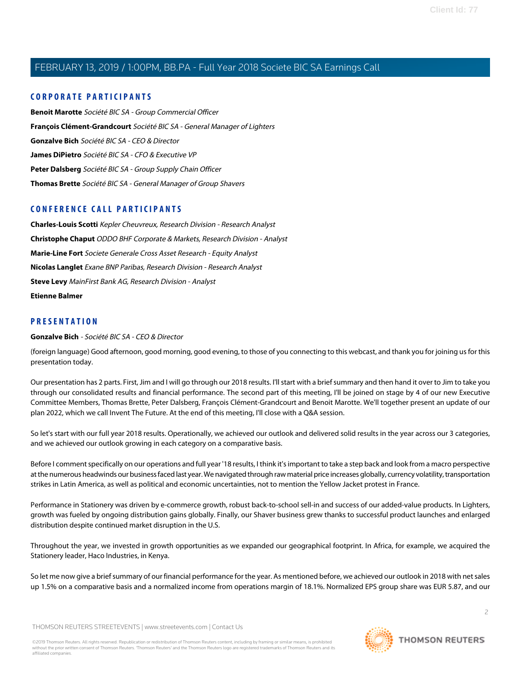### **CORPORATE PARTICIPANTS**

**[Benoit Marotte](#page-11-0)** Société BIC SA - Group Commercial Officer **[François Clément-Grandcourt](#page-7-0)** Société BIC SA - General Manager of Lighters **[Gonzalve Bich](#page-1-0)** Société BIC SA - CEO & Director **[James DiPietro](#page-3-0)** Société BIC SA - CFO & Executive VP **[Peter Dalsberg](#page-6-0)** Société BIC SA - Group Supply Chain Officer **[Thomas Brette](#page-8-0)** Société BIC SA - General Manager of Group Shavers

### **CONFERENCE CALL PARTICIPANTS**

**[Charles-Louis Scotti](#page-19-0)** Kepler Cheuvreux, Research Division - Research Analyst **[Christophe Chaput](#page-20-0)** ODDO BHF Corporate & Markets, Research Division - Analyst **[Marie-Line Fort](#page-17-0)** Societe Generale Cross Asset Research - Equity Analyst **[Nicolas Langlet](#page-15-0)** Exane BNP Paribas, Research Division - Research Analyst **[Steve Levy](#page-17-1)** MainFirst Bank AG, Research Division - Analyst **[Etienne Balmer](#page-21-0)**

### <span id="page-1-0"></span>**PRESENTATION**

#### **Gonzalve Bich** - Société BIC SA - CEO & Director

(foreign language) Good afternoon, good morning, good evening, to those of you connecting to this webcast, and thank you for joining us for this presentation today.

Our presentation has 2 parts. First, Jim and I will go through our 2018 results. I'll start with a brief summary and then hand it over to Jim to take you through our consolidated results and financial performance. The second part of this meeting, I'll be joined on stage by 4 of our new Executive Committee Members, Thomas Brette, Peter Dalsberg, François Clément-Grandcourt and Benoit Marotte. We'll together present an update of our plan 2022, which we call Invent The Future. At the end of this meeting, I'll close with a Q&A session.

So let's start with our full year 2018 results. Operationally, we achieved our outlook and delivered solid results in the year across our 3 categories, and we achieved our outlook growing in each category on a comparative basis.

Before I comment specifically on our operations and full year '18 results, I think it's important to take a step back and look from a macro perspective at the numerous headwinds our business faced last year. We navigated through raw material price increases globally, currency volatility, transportation strikes in Latin America, as well as political and economic uncertainties, not to mention the Yellow Jacket protest in France.

Performance in Stationery was driven by e-commerce growth, robust back-to-school sell-in and success of our added-value products. In Lighters, growth was fueled by ongoing distribution gains globally. Finally, our Shaver business grew thanks to successful product launches and enlarged distribution despite continued market disruption in the U.S.

Throughout the year, we invested in growth opportunities as we expanded our geographical footprint. In Africa, for example, we acquired the Stationery leader, Haco Industries, in Kenya.

So let me now give a brief summary of our financial performance for the year. As mentioned before, we achieved our outlook in 2018 with net sales up 1.5% on a comparative basis and a normalized income from operations margin of 18.1%. Normalized EPS group share was EUR 5.87, and our

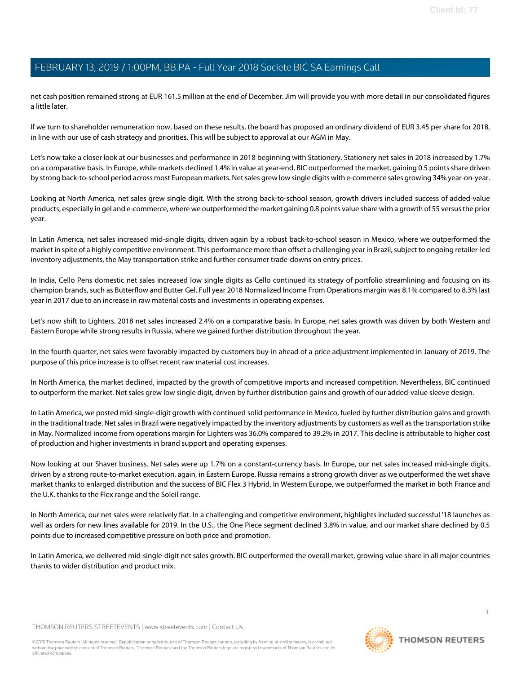net cash position remained strong at EUR 161.5 million at the end of December. Jim will provide you with more detail in our consolidated figures a little later.

If we turn to shareholder remuneration now, based on these results, the board has proposed an ordinary dividend of EUR 3.45 per share for 2018, in line with our use of cash strategy and priorities. This will be subject to approval at our AGM in May.

Let's now take a closer look at our businesses and performance in 2018 beginning with Stationery. Stationery net sales in 2018 increased by 1.7% on a comparative basis. In Europe, while markets declined 1.4% in value at year-end, BIC outperformed the market, gaining 0.5 points share driven by strong back-to-school period across most European markets. Net sales grew low single digits with e-commerce sales growing 34% year-on-year.

Looking at North America, net sales grew single digit. With the strong back-to-school season, growth drivers included success of added-value products, especially in gel and e-commerce, where we outperformed the market gaining 0.8 points value share with a growth of 55 versus the prior year.

In Latin America, net sales increased mid-single digits, driven again by a robust back-to-school season in Mexico, where we outperformed the market in spite of a highly competitive environment. This performance more than offset a challenging year in Brazil, subject to ongoing retailer-led inventory adjustments, the May transportation strike and further consumer trade-downs on entry prices.

In India, Cello Pens domestic net sales increased low single digits as Cello continued its strategy of portfolio streamlining and focusing on its champion brands, such as Butterflow and Butter Gel. Full year 2018 Normalized Income From Operations margin was 8.1% compared to 8.3% last year in 2017 due to an increase in raw material costs and investments in operating expenses.

Let's now shift to Lighters. 2018 net sales increased 2.4% on a comparative basis. In Europe, net sales growth was driven by both Western and Eastern Europe while strong results in Russia, where we gained further distribution throughout the year.

In the fourth quarter, net sales were favorably impacted by customers buy-in ahead of a price adjustment implemented in January of 2019. The purpose of this price increase is to offset recent raw material cost increases.

In North America, the market declined, impacted by the growth of competitive imports and increased competition. Nevertheless, BIC continued to outperform the market. Net sales grew low single digit, driven by further distribution gains and growth of our added-value sleeve design.

In Latin America, we posted mid-single-digit growth with continued solid performance in Mexico, fueled by further distribution gains and growth in the traditional trade. Net sales in Brazil were negatively impacted by the inventory adjustments by customers as well as the transportation strike in May. Normalized income from operations margin for Lighters was 36.0% compared to 39.2% in 2017. This decline is attributable to higher cost of production and higher investments in brand support and operating expenses.

Now looking at our Shaver business. Net sales were up 1.7% on a constant-currency basis. In Europe, our net sales increased mid-single digits, driven by a strong route-to-market execution, again, in Eastern Europe. Russia remains a strong growth driver as we outperformed the wet shave market thanks to enlarged distribution and the success of BIC Flex 3 Hybrid. In Western Europe, we outperformed the market in both France and the U.K. thanks to the Flex range and the Soleil range.

In North America, our net sales were relatively flat. In a challenging and competitive environment, highlights included successful '18 launches as well as orders for new lines available for 2019. In the U.S., the One Piece segment declined 3.8% in value, and our market share declined by 0.5 points due to increased competitive pressure on both price and promotion.

In Latin America, we delivered mid-single-digit net sales growth. BIC outperformed the overall market, growing value share in all major countries thanks to wider distribution and product mix.

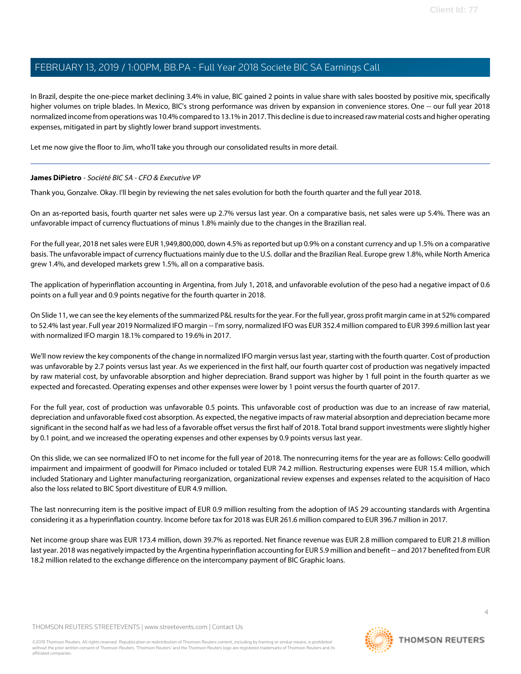In Brazil, despite the one-piece market declining 3.4% in value, BIC gained 2 points in value share with sales boosted by positive mix, specifically higher volumes on triple blades. In Mexico, BIC's strong performance was driven by expansion in convenience stores. One -- our full year 2018 normalized income from operations was 10.4% compared to 13.1% in 2017. This decline is due to increased raw material costs and higher operating expenses, mitigated in part by slightly lower brand support investments.

<span id="page-3-0"></span>Let me now give the floor to Jim, who'll take you through our consolidated results in more detail.

#### **James DiPietro** - Société BIC SA - CFO & Executive VP

Thank you, Gonzalve. Okay. I'll begin by reviewing the net sales evolution for both the fourth quarter and the full year 2018.

On an as-reported basis, fourth quarter net sales were up 2.7% versus last year. On a comparative basis, net sales were up 5.4%. There was an unfavorable impact of currency fluctuations of minus 1.8% mainly due to the changes in the Brazilian real.

For the full year, 2018 net sales were EUR 1,949,800,000, down 4.5% as reported but up 0.9% on a constant currency and up 1.5% on a comparative basis. The unfavorable impact of currency fluctuations mainly due to the U.S. dollar and the Brazilian Real. Europe grew 1.8%, while North America grew 1.4%, and developed markets grew 1.5%, all on a comparative basis.

The application of hyperinflation accounting in Argentina, from July 1, 2018, and unfavorable evolution of the peso had a negative impact of 0.6 points on a full year and 0.9 points negative for the fourth quarter in 2018.

On Slide 11, we can see the key elements of the summarized P&L results for the year. For the full year, gross profit margin came in at 52% compared to 52.4% last year. Full year 2019 Normalized IFO margin -- I'm sorry, normalized IFO was EUR 352.4 million compared to EUR 399.6 million last year with normalized IFO margin 18.1% compared to 19.6% in 2017.

We'll now review the key components of the change in normalized IFO margin versus last year, starting with the fourth quarter. Cost of production was unfavorable by 2.7 points versus last year. As we experienced in the first half, our fourth quarter cost of production was negatively impacted by raw material cost, by unfavorable absorption and higher depreciation. Brand support was higher by 1 full point in the fourth quarter as we expected and forecasted. Operating expenses and other expenses were lower by 1 point versus the fourth quarter of 2017.

For the full year, cost of production was unfavorable 0.5 points. This unfavorable cost of production was due to an increase of raw material, depreciation and unfavorable fixed cost absorption. As expected, the negative impacts of raw material absorption and depreciation became more significant in the second half as we had less of a favorable offset versus the first half of 2018. Total brand support investments were slightly higher by 0.1 point, and we increased the operating expenses and other expenses by 0.9 points versus last year.

On this slide, we can see normalized IFO to net income for the full year of 2018. The nonrecurring items for the year are as follows: Cello goodwill impairment and impairment of goodwill for Pimaco included or totaled EUR 74.2 million. Restructuring expenses were EUR 15.4 million, which included Stationary and Lighter manufacturing reorganization, organizational review expenses and expenses related to the acquisition of Haco also the loss related to BIC Sport divestiture of EUR 4.9 million.

The last nonrecurring item is the positive impact of EUR 0.9 million resulting from the adoption of IAS 29 accounting standards with Argentina considering it as a hyperinflation country. Income before tax for 2018 was EUR 261.6 million compared to EUR 396.7 million in 2017.

Net income group share was EUR 173.4 million, down 39.7% as reported. Net finance revenue was EUR 2.8 million compared to EUR 21.8 million last year. 2018 was negatively impacted by the Argentina hyperinflation accounting for EUR 5.9 million and benefit -- and 2017 benefited from EUR 18.2 million related to the exchange difference on the intercompany payment of BIC Graphic loans.

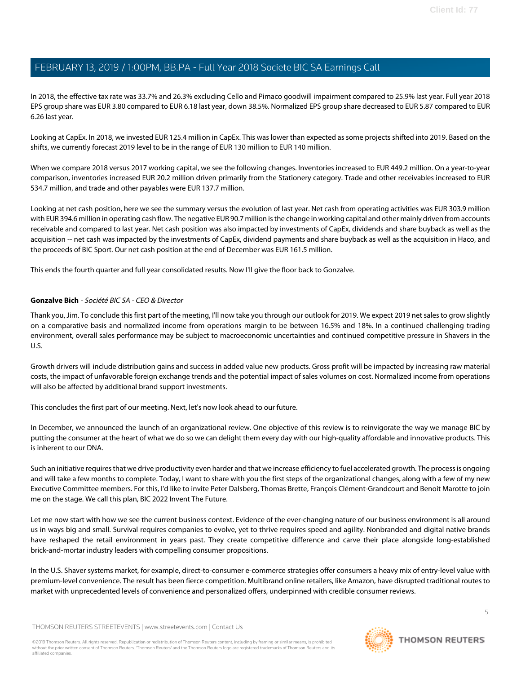In 2018, the effective tax rate was 33.7% and 26.3% excluding Cello and Pimaco goodwill impairment compared to 25.9% last year. Full year 2018 EPS group share was EUR 3.80 compared to EUR 6.18 last year, down 38.5%. Normalized EPS group share decreased to EUR 5.87 compared to EUR 6.26 last year.

Looking at CapEx. In 2018, we invested EUR 125.4 million in CapEx. This was lower than expected as some projects shifted into 2019. Based on the shifts, we currently forecast 2019 level to be in the range of EUR 130 million to EUR 140 million.

When we compare 2018 versus 2017 working capital, we see the following changes. Inventories increased to EUR 449.2 million. On a year-to-year comparison, inventories increased EUR 20.2 million driven primarily from the Stationery category. Trade and other receivables increased to EUR 534.7 million, and trade and other payables were EUR 137.7 million.

Looking at net cash position, here we see the summary versus the evolution of last year. Net cash from operating activities was EUR 303.9 million with EUR 394.6 million in operating cash flow. The negative EUR 90.7 million is the change in working capital and other mainly driven from accounts receivable and compared to last year. Net cash position was also impacted by investments of CapEx, dividends and share buyback as well as the acquisition -- net cash was impacted by the investments of CapEx, dividend payments and share buyback as well as the acquisition in Haco, and the proceeds of BIC Sport. Our net cash position at the end of December was EUR 161.5 million.

This ends the fourth quarter and full year consolidated results. Now I'll give the floor back to Gonzalve.

#### **Gonzalve Bich** - Société BIC SA - CEO & Director

Thank you, Jim. To conclude this first part of the meeting, I'll now take you through our outlook for 2019. We expect 2019 net sales to grow slightly on a comparative basis and normalized income from operations margin to be between 16.5% and 18%. In a continued challenging trading environment, overall sales performance may be subject to macroeconomic uncertainties and continued competitive pressure in Shavers in the U.S.

Growth drivers will include distribution gains and success in added value new products. Gross profit will be impacted by increasing raw material costs, the impact of unfavorable foreign exchange trends and the potential impact of sales volumes on cost. Normalized income from operations will also be affected by additional brand support investments.

This concludes the first part of our meeting. Next, let's now look ahead to our future.

In December, we announced the launch of an organizational review. One objective of this review is to reinvigorate the way we manage BIC by putting the consumer at the heart of what we do so we can delight them every day with our high-quality affordable and innovative products. This is inherent to our DNA.

Such an initiative requires that we drive productivity even harder and that we increase efficiency to fuel accelerated growth. The process is ongoing and will take a few months to complete. Today, I want to share with you the first steps of the organizational changes, along with a few of my new Executive Committee members. For this, I'd like to invite Peter Dalsberg, Thomas Brette, François Clément-Grandcourt and Benoit Marotte to join me on the stage. We call this plan, BIC 2022 Invent The Future.

Let me now start with how we see the current business context. Evidence of the ever-changing nature of our business environment is all around us in ways big and small. Survival requires companies to evolve, yet to thrive requires speed and agility. Nonbranded and digital native brands have reshaped the retail environment in years past. They create competitive difference and carve their place alongside long-established brick-and-mortar industry leaders with compelling consumer propositions.

In the U.S. Shaver systems market, for example, direct-to-consumer e-commerce strategies offer consumers a heavy mix of entry-level value with premium-level convenience. The result has been fierce competition. Multibrand online retailers, like Amazon, have disrupted traditional routes to market with unprecedented levels of convenience and personalized offers, underpinned with credible consumer reviews.

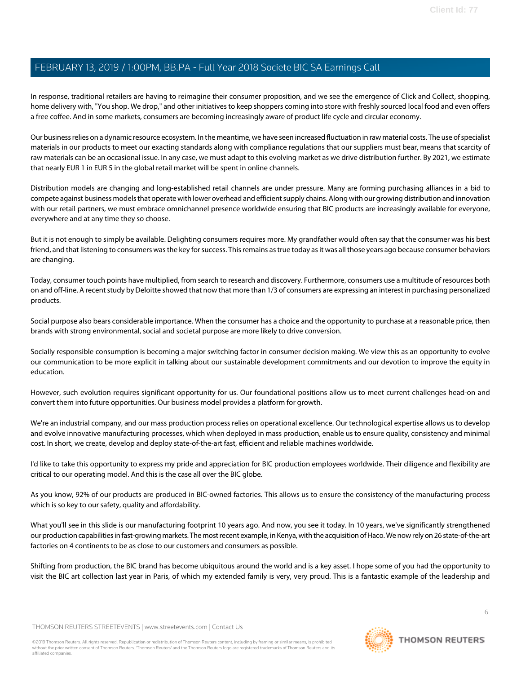In response, traditional retailers are having to reimagine their consumer proposition, and we see the emergence of Click and Collect, shopping, home delivery with, "You shop. We drop," and other initiatives to keep shoppers coming into store with freshly sourced local food and even offers a free coffee. And in some markets, consumers are becoming increasingly aware of product life cycle and circular economy.

Our business relies on a dynamic resource ecosystem. In the meantime, we have seen increased fluctuation in raw material costs. The use of specialist materials in our products to meet our exacting standards along with compliance regulations that our suppliers must bear, means that scarcity of raw materials can be an occasional issue. In any case, we must adapt to this evolving market as we drive distribution further. By 2021, we estimate that nearly EUR 1 in EUR 5 in the global retail market will be spent in online channels.

Distribution models are changing and long-established retail channels are under pressure. Many are forming purchasing alliances in a bid to compete against business models that operate with lower overhead and efficient supply chains. Along with our growing distribution and innovation with our retail partners, we must embrace omnichannel presence worldwide ensuring that BIC products are increasingly available for everyone, everywhere and at any time they so choose.

But it is not enough to simply be available. Delighting consumers requires more. My grandfather would often say that the consumer was his best friend, and that listening to consumers was the key for success. This remains as true today as it was all those years ago because consumer behaviors are changing.

Today, consumer touch points have multiplied, from search to research and discovery. Furthermore, consumers use a multitude of resources both on and off-line. A recent study by Deloitte showed that now that more than 1/3 of consumers are expressing an interest in purchasing personalized products.

Social purpose also bears considerable importance. When the consumer has a choice and the opportunity to purchase at a reasonable price, then brands with strong environmental, social and societal purpose are more likely to drive conversion.

Socially responsible consumption is becoming a major switching factor in consumer decision making. We view this as an opportunity to evolve our communication to be more explicit in talking about our sustainable development commitments and our devotion to improve the equity in education.

However, such evolution requires significant opportunity for us. Our foundational positions allow us to meet current challenges head-on and convert them into future opportunities. Our business model provides a platform for growth.

We're an industrial company, and our mass production process relies on operational excellence. Our technological expertise allows us to develop and evolve innovative manufacturing processes, which when deployed in mass production, enable us to ensure quality, consistency and minimal cost. In short, we create, develop and deploy state-of-the-art fast, efficient and reliable machines worldwide.

I'd like to take this opportunity to express my pride and appreciation for BIC production employees worldwide. Their diligence and flexibility are critical to our operating model. And this is the case all over the BIC globe.

As you know, 92% of our products are produced in BIC-owned factories. This allows us to ensure the consistency of the manufacturing process which is so key to our safety, quality and affordability.

What you'll see in this slide is our manufacturing footprint 10 years ago. And now, you see it today. In 10 years, we've significantly strengthened our production capabilities in fast-growing markets. The most recent example, in Kenya, with the acquisition of Haco. We now rely on 26 state-of-the-art factories on 4 continents to be as close to our customers and consumers as possible.

Shifting from production, the BIC brand has become ubiquitous around the world and is a key asset. I hope some of you had the opportunity to visit the BIC art collection last year in Paris, of which my extended family is very, very proud. This is a fantastic example of the leadership and

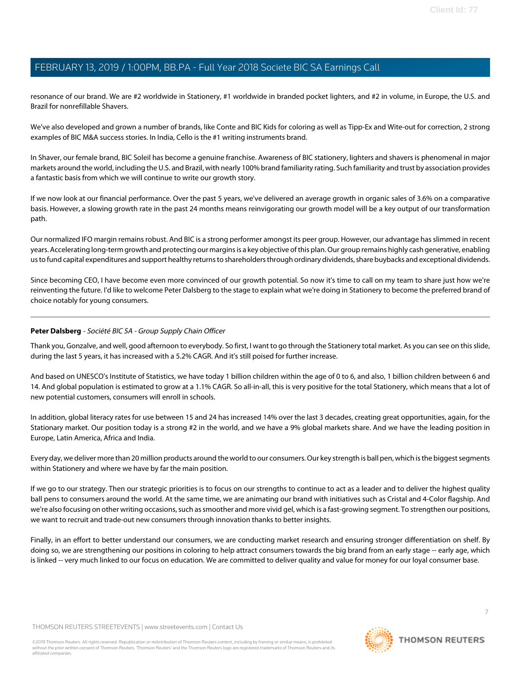resonance of our brand. We are #2 worldwide in Stationery, #1 worldwide in branded pocket lighters, and #2 in volume, in Europe, the U.S. and Brazil for nonrefillable Shavers.

We've also developed and grown a number of brands, like Conte and BIC Kids for coloring as well as Tipp-Ex and Wite-out for correction, 2 strong examples of BIC M&A success stories. In India, Cello is the #1 writing instruments brand.

In Shaver, our female brand, BIC Soleil has become a genuine franchise. Awareness of BIC stationery, lighters and shavers is phenomenal in major markets around the world, including the U.S. and Brazil, with nearly 100% brand familiarity rating. Such familiarity and trust by association provides a fantastic basis from which we will continue to write our growth story.

If we now look at our financial performance. Over the past 5 years, we've delivered an average growth in organic sales of 3.6% on a comparative basis. However, a slowing growth rate in the past 24 months means reinvigorating our growth model will be a key output of our transformation path.

Our normalized IFO margin remains robust. And BIC is a strong performer amongst its peer group. However, our advantage has slimmed in recent years. Accelerating long-term growth and protecting our margins is a key objective of this plan. Our group remains highly cash generative, enabling us to fund capital expenditures and support healthy returns to shareholders through ordinary dividends, share buybacks and exceptional dividends.

<span id="page-6-0"></span>Since becoming CEO, I have become even more convinced of our growth potential. So now it's time to call on my team to share just how we're reinventing the future. I'd like to welcome Peter Dalsberg to the stage to explain what we're doing in Stationery to become the preferred brand of choice notably for young consumers.

#### **Peter Dalsberg** - Société BIC SA - Group Supply Chain Officer

Thank you, Gonzalve, and well, good afternoon to everybody. So first, I want to go through the Stationery total market. As you can see on this slide, during the last 5 years, it has increased with a 5.2% CAGR. And it's still poised for further increase.

And based on UNESCO's Institute of Statistics, we have today 1 billion children within the age of 0 to 6, and also, 1 billion children between 6 and 14. And global population is estimated to grow at a 1.1% CAGR. So all-in-all, this is very positive for the total Stationery, which means that a lot of new potential customers, consumers will enroll in schools.

In addition, global literacy rates for use between 15 and 24 has increased 14% over the last 3 decades, creating great opportunities, again, for the Stationary market. Our position today is a strong #2 in the world, and we have a 9% global markets share. And we have the leading position in Europe, Latin America, Africa and India.

Every day, we deliver more than 20 million products around the world to our consumers. Our key strength is ball pen, which is the biggest segments within Stationery and where we have by far the main position.

If we go to our strategy. Then our strategic priorities is to focus on our strengths to continue to act as a leader and to deliver the highest quality ball pens to consumers around the world. At the same time, we are animating our brand with initiatives such as Cristal and 4-Color flagship. And we're also focusing on other writing occasions, such as smoother and more vivid gel, which is a fast-growing segment. To strengthen our positions, we want to recruit and trade-out new consumers through innovation thanks to better insights.

Finally, in an effort to better understand our consumers, we are conducting market research and ensuring stronger differentiation on shelf. By doing so, we are strengthening our positions in coloring to help attract consumers towards the big brand from an early stage -- early age, which is linked -- very much linked to our focus on education. We are committed to deliver quality and value for money for our loyal consumer base.

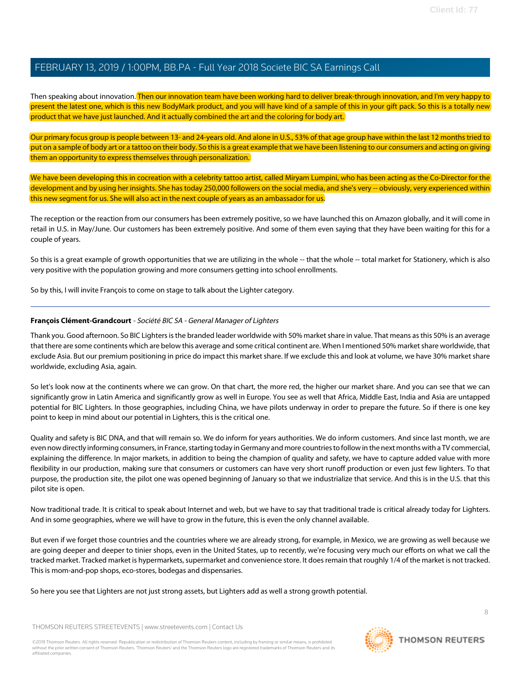Then speaking about innovation. Then our innovation team have been working hard to deliver break-through innovation, and I'm very happy to present the latest one, which is this new BodyMark product, and you will have kind of a sample of this in your gift pack. So this is a totally new product that we have just launched. And it actually combined the art and the coloring for body art.

Our primary focus group is people between 13- and 24-years old. And alone in U.S., 53% of that age group have within the last 12 months tried to put on a sample of body art or a tattoo on their body. So this is a great example that we have been listening to our consumers and acting on giving them an opportunity to express themselves through personalization.

We have been developing this in cocreation with a celebrity tattoo artist, called Miryam Lumpini, who has been acting as the Co-Director for the development and by using her insights. She has today 250,000 followers on the social media, and she's very -- obviously, very experienced within this new segment for us. She will also act in the next couple of years as an ambassador for us.

The reception or the reaction from our consumers has been extremely positive, so we have launched this on Amazon globally, and it will come in retail in U.S. in May/June. Our customers has been extremely positive. And some of them even saying that they have been waiting for this for a couple of years.

So this is a great example of growth opportunities that we are utilizing in the whole -- that the whole -- total market for Stationery, which is also very positive with the population growing and more consumers getting into school enrollments.

<span id="page-7-0"></span>So by this, I will invite François to come on stage to talk about the Lighter category.

#### **François Clément-Grandcourt** - Société BIC SA - General Manager of Lighters

Thank you. Good afternoon. So BIC Lighters is the branded leader worldwide with 50% market share in value. That means as this 50% is an average that there are some continents which are below this average and some critical continent are. When I mentioned 50% market share worldwide, that exclude Asia. But our premium positioning in price do impact this market share. If we exclude this and look at volume, we have 30% market share worldwide, excluding Asia, again.

So let's look now at the continents where we can grow. On that chart, the more red, the higher our market share. And you can see that we can significantly grow in Latin America and significantly grow as well in Europe. You see as well that Africa, Middle East, India and Asia are untapped potential for BIC Lighters. In those geographies, including China, we have pilots underway in order to prepare the future. So if there is one key point to keep in mind about our potential in Lighters, this is the critical one.

Quality and safety is BIC DNA, and that will remain so. We do inform for years authorities. We do inform customers. And since last month, we are even now directly informing consumers, in France, starting today in Germany and more countries to follow in the next months with a TV commercial, explaining the difference. In major markets, in addition to being the champion of quality and safety, we have to capture added value with more flexibility in our production, making sure that consumers or customers can have very short runoff production or even just few lighters. To that purpose, the production site, the pilot one was opened beginning of January so that we industrialize that service. And this is in the U.S. that this pilot site is open.

Now traditional trade. It is critical to speak about Internet and web, but we have to say that traditional trade is critical already today for Lighters. And in some geographies, where we will have to grow in the future, this is even the only channel available.

But even if we forget those countries and the countries where we are already strong, for example, in Mexico, we are growing as well because we are going deeper and deeper to tinier shops, even in the United States, up to recently, we're focusing very much our efforts on what we call the tracked market. Tracked market is hypermarkets, supermarket and convenience store. It does remain that roughly 1/4 of the market is not tracked. This is mom-and-pop shops, eco-stores, bodegas and dispensaries.

So here you see that Lighters are not just strong assets, but Lighters add as well a strong growth potential.

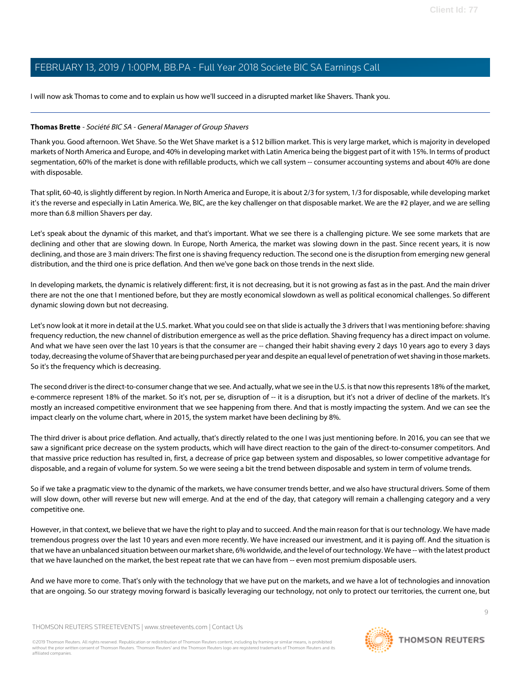I will now ask Thomas to come and to explain us how we'll succeed in a disrupted market like Shavers. Thank you.

#### <span id="page-8-0"></span>**Thomas Brette** - Société BIC SA - General Manager of Group Shavers

Thank you. Good afternoon. Wet Shave. So the Wet Shave market is a \$12 billion market. This is very large market, which is majority in developed markets of North America and Europe, and 40% in developing market with Latin America being the biggest part of it with 15%. In terms of product segmentation, 60% of the market is done with refillable products, which we call system -- consumer accounting systems and about 40% are done with disposable.

That split, 60-40, is slightly different by region. In North America and Europe, it is about 2/3 for system, 1/3 for disposable, while developing market it's the reverse and especially in Latin America. We, BIC, are the key challenger on that disposable market. We are the #2 player, and we are selling more than 6.8 million Shavers per day.

Let's speak about the dynamic of this market, and that's important. What we see there is a challenging picture. We see some markets that are declining and other that are slowing down. In Europe, North America, the market was slowing down in the past. Since recent years, it is now declining, and those are 3 main drivers: The first one is shaving frequency reduction. The second one is the disruption from emerging new general distribution, and the third one is price deflation. And then we've gone back on those trends in the next slide.

In developing markets, the dynamic is relatively different: first, it is not decreasing, but it is not growing as fast as in the past. And the main driver there are not the one that I mentioned before, but they are mostly economical slowdown as well as political economical challenges. So different dynamic slowing down but not decreasing.

Let's now look at it more in detail at the U.S. market. What you could see on that slide is actually the 3 drivers that I was mentioning before: shaving frequency reduction, the new channel of distribution emergence as well as the price deflation. Shaving frequency has a direct impact on volume. And what we have seen over the last 10 years is that the consumer are -- changed their habit shaving every 2 days 10 years ago to every 3 days today, decreasing the volume of Shaver that are being purchased per year and despite an equal level of penetration of wet shaving in those markets. So it's the frequency which is decreasing.

The second driver is the direct-to-consumer change that we see. And actually, what we see in the U.S. is that now this represents 18% of the market, e-commerce represent 18% of the market. So it's not, per se, disruption of -- it is a disruption, but it's not a driver of decline of the markets. It's mostly an increased competitive environment that we see happening from there. And that is mostly impacting the system. And we can see the impact clearly on the volume chart, where in 2015, the system market have been declining by 8%.

The third driver is about price deflation. And actually, that's directly related to the one I was just mentioning before. In 2016, you can see that we saw a significant price decrease on the system products, which will have direct reaction to the gain of the direct-to-consumer competitors. And that massive price reduction has resulted in, first, a decrease of price gap between system and disposables, so lower competitive advantage for disposable, and a regain of volume for system. So we were seeing a bit the trend between disposable and system in term of volume trends.

So if we take a pragmatic view to the dynamic of the markets, we have consumer trends better, and we also have structural drivers. Some of them will slow down, other will reverse but new will emerge. And at the end of the day, that category will remain a challenging category and a very competitive one.

However, in that context, we believe that we have the right to play and to succeed. And the main reason for that is our technology. We have made tremendous progress over the last 10 years and even more recently. We have increased our investment, and it is paying off. And the situation is that we have an unbalanced situation between our market share, 6% worldwide, and the level of our technology. We have -- with the latest product that we have launched on the market, the best repeat rate that we can have from -- even most premium disposable users.

And we have more to come. That's only with the technology that we have put on the markets, and we have a lot of technologies and innovation that are ongoing. So our strategy moving forward is basically leveraging our technology, not only to protect our territories, the current one, but

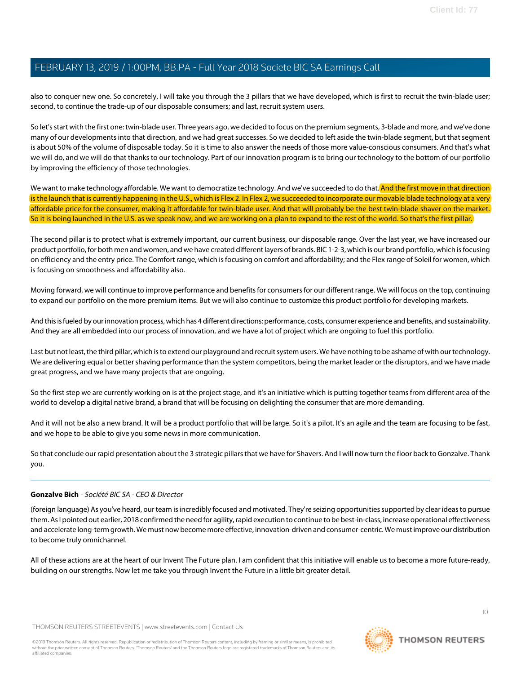also to conquer new one. So concretely, I will take you through the 3 pillars that we have developed, which is first to recruit the twin-blade user; second, to continue the trade-up of our disposable consumers; and last, recruit system users.

So let's start with the first one: twin-blade user. Three years ago, we decided to focus on the premium segments, 3-blade and more, and we've done many of our developments into that direction, and we had great successes. So we decided to left aside the twin-blade segment, but that segment is about 50% of the volume of disposable today. So it is time to also answer the needs of those more value-conscious consumers. And that's what we will do, and we will do that thanks to our technology. Part of our innovation program is to bring our technology to the bottom of our portfolio by improving the efficiency of those technologies.

We want to make technology affordable. We want to democratize technology. And we've succeeded to do that. And the first move in that direction is the launch that is currently happening in the U.S., which is Flex 2. In Flex 2, we succeeded to incorporate our movable blade technology at a very affordable price for the consumer, making it affordable for twin-blade user. And that will probably be the best twin-blade shaver on the market. So it is being launched in the U.S. as we speak now, and we are working on a plan to expand to the rest of the world. So that's the first pillar.

The second pillar is to protect what is extremely important, our current business, our disposable range. Over the last year, we have increased our product portfolio, for both men and women, and we have created different layers of brands. BIC 1-2-3, which is our brand portfolio, which is focusing on efficiency and the entry price. The Comfort range, which is focusing on comfort and affordability; and the Flex range of Soleil for women, which is focusing on smoothness and affordability also.

Moving forward, we will continue to improve performance and benefits for consumers for our different range. We will focus on the top, continuing to expand our portfolio on the more premium items. But we will also continue to customize this product portfolio for developing markets.

And this is fueled by our innovation process, which has 4 different directions: performance, costs, consumer experience and benefits, and sustainability. And they are all embedded into our process of innovation, and we have a lot of project which are ongoing to fuel this portfolio.

Last but not least, the third pillar, which is to extend our playground and recruit system users. We have nothing to be ashame of with our technology. We are delivering equal or better shaving performance than the system competitors, being the market leader or the disruptors, and we have made great progress, and we have many projects that are ongoing.

So the first step we are currently working on is at the project stage, and it's an initiative which is putting together teams from different area of the world to develop a digital native brand, a brand that will be focusing on delighting the consumer that are more demanding.

And it will not be also a new brand. It will be a product portfolio that will be large. So it's a pilot. It's an agile and the team are focusing to be fast, and we hope to be able to give you some news in more communication.

So that conclude our rapid presentation about the 3 strategic pillars that we have for Shavers. And I will now turn the floor back to Gonzalve. Thank you.

#### **Gonzalve Bich** - Société BIC SA - CEO & Director

(foreign language) As you've heard, our team is incredibly focused and motivated. They're seizing opportunities supported by clear ideas to pursue them. As I pointed out earlier, 2018 confirmed the need for agility, rapid execution to continue to be best-in-class, increase operational effectiveness and accelerate long-term growth. We must now become more effective, innovation-driven and consumer-centric. We must improve our distribution to become truly omnichannel.

All of these actions are at the heart of our Invent The Future plan. I am confident that this initiative will enable us to become a more future-ready, building on our strengths. Now let me take you through Invent the Future in a little bit greater detail.

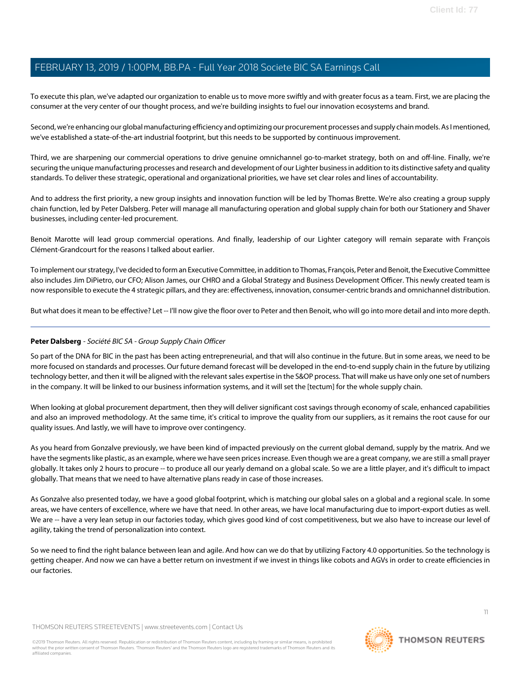To execute this plan, we've adapted our organization to enable us to move more swiftly and with greater focus as a team. First, we are placing the consumer at the very center of our thought process, and we're building insights to fuel our innovation ecosystems and brand.

Second, we're enhancing our global manufacturing efficiency and optimizing our procurement processes and supply chain models. As I mentioned, we've established a state-of-the-art industrial footprint, but this needs to be supported by continuous improvement.

Third, we are sharpening our commercial operations to drive genuine omnichannel go-to-market strategy, both on and off-line. Finally, we're securing the unique manufacturing processes and research and development of our Lighter business in addition to its distinctive safety and quality standards. To deliver these strategic, operational and organizational priorities, we have set clear roles and lines of accountability.

And to address the first priority, a new group insights and innovation function will be led by Thomas Brette. We're also creating a group supply chain function, led by Peter Dalsberg. Peter will manage all manufacturing operation and global supply chain for both our Stationery and Shaver businesses, including center-led procurement.

Benoit Marotte will lead group commercial operations. And finally, leadership of our Lighter category will remain separate with François Clément-Grandcourt for the reasons I talked about earlier.

To implement our strategy, I've decided to form an Executive Committee, in addition to Thomas, François, Peter and Benoit, the Executive Committee also includes Jim DiPietro, our CFO; Alison James, our CHRO and a Global Strategy and Business Development Officer. This newly created team is now responsible to execute the 4 strategic pillars, and they are: effectiveness, innovation, consumer-centric brands and omnichannel distribution.

But what does it mean to be effective? Let -- I'll now give the floor over to Peter and then Benoit, who will go into more detail and into more depth.

### **Peter Dalsberg** - Société BIC SA - Group Supply Chain Officer

So part of the DNA for BIC in the past has been acting entrepreneurial, and that will also continue in the future. But in some areas, we need to be more focused on standards and processes. Our future demand forecast will be developed in the end-to-end supply chain in the future by utilizing technology better, and then it will be aligned with the relevant sales expertise in the S&OP process. That will make us have only one set of numbers in the company. It will be linked to our business information systems, and it will set the [tectum] for the whole supply chain.

When looking at global procurement department, then they will deliver significant cost savings through economy of scale, enhanced capabilities and also an improved methodology. At the same time, it's critical to improve the quality from our suppliers, as it remains the root cause for our quality issues. And lastly, we will have to improve over contingency.

As you heard from Gonzalve previously, we have been kind of impacted previously on the current global demand, supply by the matrix. And we have the segments like plastic, as an example, where we have seen prices increase. Even though we are a great company, we are still a small prayer globally. It takes only 2 hours to procure -- to produce all our yearly demand on a global scale. So we are a little player, and it's difficult to impact globally. That means that we need to have alternative plans ready in case of those increases.

As Gonzalve also presented today, we have a good global footprint, which is matching our global sales on a global and a regional scale. In some areas, we have centers of excellence, where we have that need. In other areas, we have local manufacturing due to import-export duties as well. We are -- have a very lean setup in our factories today, which gives good kind of cost competitiveness, but we also have to increase our level of agility, taking the trend of personalization into context.

So we need to find the right balance between lean and agile. And how can we do that by utilizing Factory 4.0 opportunities. So the technology is getting cheaper. And now we can have a better return on investment if we invest in things like cobots and AGVs in order to create efficiencies in our factories.

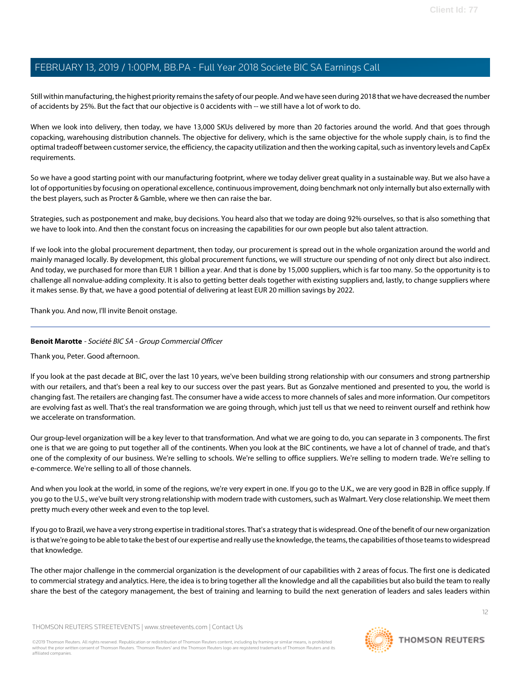Still within manufacturing, the highest priority remains the safety of our people. And we have seen during 2018 that we have decreased the number of accidents by 25%. But the fact that our objective is 0 accidents with -- we still have a lot of work to do.

When we look into delivery, then today, we have 13,000 SKUs delivered by more than 20 factories around the world. And that goes through copacking, warehousing distribution channels. The objective for delivery, which is the same objective for the whole supply chain, is to find the optimal tradeoff between customer service, the efficiency, the capacity utilization and then the working capital, such as inventory levels and CapEx requirements.

So we have a good starting point with our manufacturing footprint, where we today deliver great quality in a sustainable way. But we also have a lot of opportunities by focusing on operational excellence, continuous improvement, doing benchmark not only internally but also externally with the best players, such as Procter & Gamble, where we then can raise the bar.

Strategies, such as postponement and make, buy decisions. You heard also that we today are doing 92% ourselves, so that is also something that we have to look into. And then the constant focus on increasing the capabilities for our own people but also talent attraction.

If we look into the global procurement department, then today, our procurement is spread out in the whole organization around the world and mainly managed locally. By development, this global procurement functions, we will structure our spending of not only direct but also indirect. And today, we purchased for more than EUR 1 billion a year. And that is done by 15,000 suppliers, which is far too many. So the opportunity is to challenge all nonvalue-adding complexity. It is also to getting better deals together with existing suppliers and, lastly, to change suppliers where it makes sense. By that, we have a good potential of delivering at least EUR 20 million savings by 2022.

<span id="page-11-0"></span>Thank you. And now, I'll invite Benoit onstage.

### **Benoit Marotte** - Société BIC SA - Group Commercial Officer

Thank you, Peter. Good afternoon.

If you look at the past decade at BIC, over the last 10 years, we've been building strong relationship with our consumers and strong partnership with our retailers, and that's been a real key to our success over the past years. But as Gonzalve mentioned and presented to you, the world is changing fast. The retailers are changing fast. The consumer have a wide access to more channels of sales and more information. Our competitors are evolving fast as well. That's the real transformation we are going through, which just tell us that we need to reinvent ourself and rethink how we accelerate on transformation.

Our group-level organization will be a key lever to that transformation. And what we are going to do, you can separate in 3 components. The first one is that we are going to put together all of the continents. When you look at the BIC continents, we have a lot of channel of trade, and that's one of the complexity of our business. We're selling to schools. We're selling to office suppliers. We're selling to modern trade. We're selling to e-commerce. We're selling to all of those channels.

And when you look at the world, in some of the regions, we're very expert in one. If you go to the U.K., we are very good in B2B in office supply. If you go to the U.S., we've built very strong relationship with modern trade with customers, such as Walmart. Very close relationship. We meet them pretty much every other week and even to the top level.

If you go to Brazil, we have a very strong expertise in traditional stores. That's a strategy that is widespread. One of the benefit of our new organization is that we're going to be able to take the best of our expertise and really use the knowledge, the teams, the capabilities of those teams to widespread that knowledge.

The other major challenge in the commercial organization is the development of our capabilities with 2 areas of focus. The first one is dedicated to commercial strategy and analytics. Here, the idea is to bring together all the knowledge and all the capabilities but also build the team to really share the best of the category management, the best of training and learning to build the next generation of leaders and sales leaders within

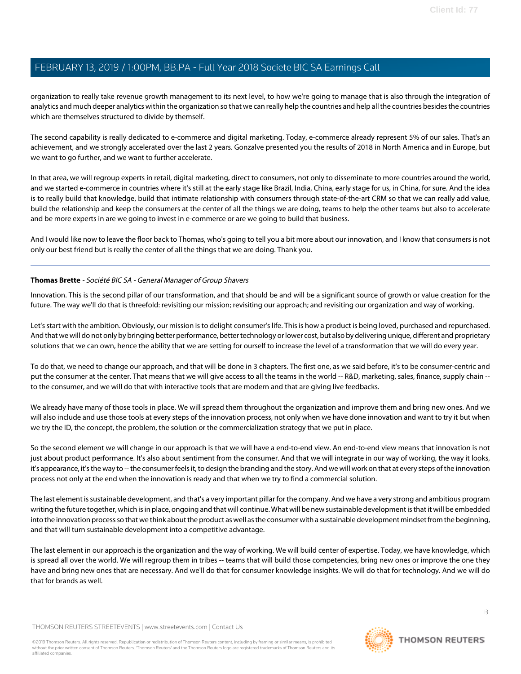organization to really take revenue growth management to its next level, to how we're going to manage that is also through the integration of analytics and much deeper analytics within the organization so that we can really help the countries and help all the countries besides the countries which are themselves structured to divide by themself.

The second capability is really dedicated to e-commerce and digital marketing. Today, e-commerce already represent 5% of our sales. That's an achievement, and we strongly accelerated over the last 2 years. Gonzalve presented you the results of 2018 in North America and in Europe, but we want to go further, and we want to further accelerate.

In that area, we will regroup experts in retail, digital marketing, direct to consumers, not only to disseminate to more countries around the world, and we started e-commerce in countries where it's still at the early stage like Brazil, India, China, early stage for us, in China, for sure. And the idea is to really build that knowledge, build that intimate relationship with consumers through state-of-the-art CRM so that we can really add value, build the relationship and keep the consumers at the center of all the things we are doing, teams to help the other teams but also to accelerate and be more experts in are we going to invest in e-commerce or are we going to build that business.

And I would like now to leave the floor back to Thomas, who's going to tell you a bit more about our innovation, and I know that consumers is not only our best friend but is really the center of all the things that we are doing. Thank you.

#### **Thomas Brette** - Société BIC SA - General Manager of Group Shavers

Innovation. This is the second pillar of our transformation, and that should be and will be a significant source of growth or value creation for the future. The way we'll do that is threefold: revisiting our mission; revisiting our approach; and revisiting our organization and way of working.

Let's start with the ambition. Obviously, our mission is to delight consumer's life. This is how a product is being loved, purchased and repurchased. And that we will do not only by bringing better performance, better technology or lower cost, but also by delivering unique, different and proprietary solutions that we can own, hence the ability that we are setting for ourself to increase the level of a transformation that we will do every year.

To do that, we need to change our approach, and that will be done in 3 chapters. The first one, as we said before, it's to be consumer-centric and put the consumer at the center. That means that we will give access to all the teams in the world -- R&D, marketing, sales, finance, supply chain -to the consumer, and we will do that with interactive tools that are modern and that are giving live feedbacks.

We already have many of those tools in place. We will spread them throughout the organization and improve them and bring new ones. And we will also include and use those tools at every steps of the innovation process, not only when we have done innovation and want to try it but when we try the ID, the concept, the problem, the solution or the commercialization strategy that we put in place.

So the second element we will change in our approach is that we will have a end-to-end view. An end-to-end view means that innovation is not just about product performance. It's also about sentiment from the consumer. And that we will integrate in our way of working, the way it looks, it's appearance, it's the way to -- the consumer feels it, to design the branding and the story. And we will work on that at every steps of the innovation process not only at the end when the innovation is ready and that when we try to find a commercial solution.

The last element is sustainable development, and that's a very important pillar for the company. And we have a very strong and ambitious program writing the future together, which is in place, ongoing and that will continue. What will be new sustainable development is that it will be embedded into the innovation process so that we think about the product as well as the consumer with a sustainable development mindset from the beginning, and that will turn sustainable development into a competitive advantage.

The last element in our approach is the organization and the way of working. We will build center of expertise. Today, we have knowledge, which is spread all over the world. We will regroup them in tribes -- teams that will build those competencies, bring new ones or improve the one they have and bring new ones that are necessary. And we'll do that for consumer knowledge insights. We will do that for technology. And we will do that for brands as well.

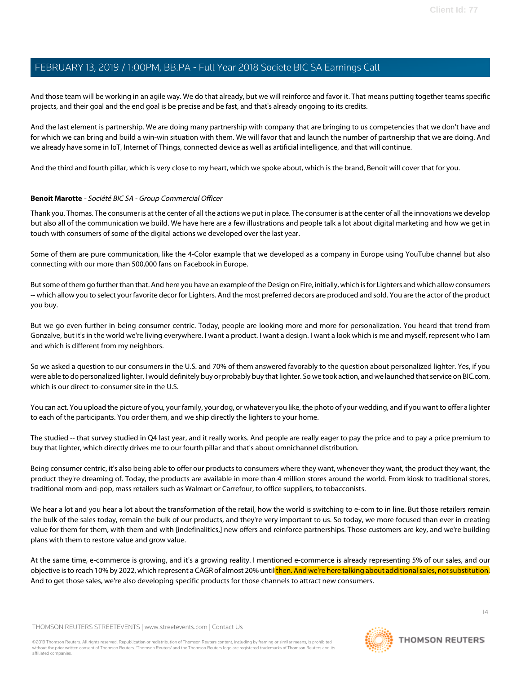And those team will be working in an agile way. We do that already, but we will reinforce and favor it. That means putting together teams specific projects, and their goal and the end goal is be precise and be fast, and that's already ongoing to its credits.

And the last element is partnership. We are doing many partnership with company that are bringing to us competencies that we don't have and for which we can bring and build a win-win situation with them. We will favor that and launch the number of partnership that we are doing. And we already have some in IoT, Internet of Things, connected device as well as artificial intelligence, and that will continue.

And the third and fourth pillar, which is very close to my heart, which we spoke about, which is the brand, Benoit will cover that for you.

#### **Benoit Marotte** - Société BIC SA - Group Commercial Officer

Thank you, Thomas. The consumer is at the center of all the actions we put in place. The consumer is at the center of all the innovations we develop but also all of the communication we build. We have here are a few illustrations and people talk a lot about digital marketing and how we get in touch with consumers of some of the digital actions we developed over the last year.

Some of them are pure communication, like the 4-Color example that we developed as a company in Europe using YouTube channel but also connecting with our more than 500,000 fans on Facebook in Europe.

But some of them go further than that. And here you have an example of the Design on Fire, initially, which is for Lighters and which allow consumers -- which allow you to select your favorite decor for Lighters. And the most preferred decors are produced and sold. You are the actor of the product you buy.

But we go even further in being consumer centric. Today, people are looking more and more for personalization. You heard that trend from Gonzalve, but it's in the world we're living everywhere. I want a product. I want a design. I want a look which is me and myself, represent who I am and which is different from my neighbors.

So we asked a question to our consumers in the U.S. and 70% of them answered favorably to the question about personalized lighter. Yes, if you were able to do personalized lighter, I would definitely buy or probably buy that lighter. So we took action, and we launched that service on BIC.com, which is our direct-to-consumer site in the U.S.

You can act. You upload the picture of you, your family, your dog, or whatever you like, the photo of your wedding, and if you want to offer a lighter to each of the participants. You order them, and we ship directly the lighters to your home.

The studied -- that survey studied in Q4 last year, and it really works. And people are really eager to pay the price and to pay a price premium to buy that lighter, which directly drives me to our fourth pillar and that's about omnichannel distribution.

Being consumer centric, it's also being able to offer our products to consumers where they want, whenever they want, the product they want, the product they're dreaming of. Today, the products are available in more than 4 million stores around the world. From kiosk to traditional stores, traditional mom-and-pop, mass retailers such as Walmart or Carrefour, to office suppliers, to tobacconists.

We hear a lot and you hear a lot about the transformation of the retail, how the world is switching to e-com to in line. But those retailers remain the bulk of the sales today, remain the bulk of our products, and they're very important to us. So today, we more focused than ever in creating value for them for them, with them and with [indefinalitics,] new offers and reinforce partnerships. Those customers are key, and we're building plans with them to restore value and grow value.

At the same time, e-commerce is growing, and it's a growing reality. I mentioned e-commerce is already representing 5% of our sales, and our objective is to reach 10% by 2022, which represent a CAGR of almost 20% until then. And we're here talking about additional sales, not substitution. And to get those sales, we're also developing specific products for those channels to attract new consumers.

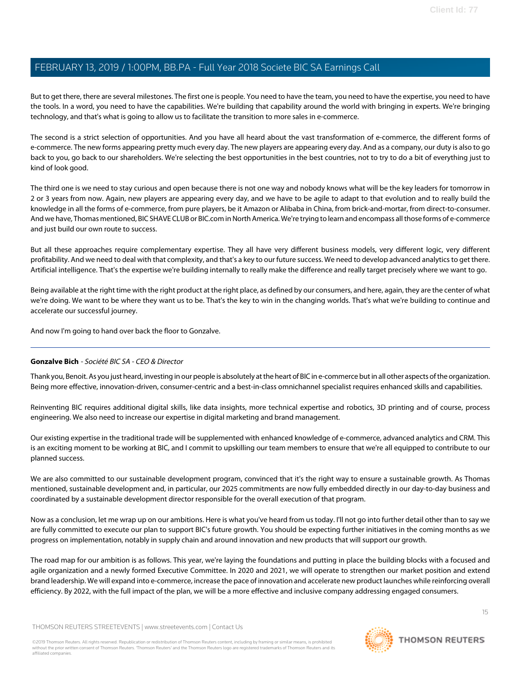But to get there, there are several milestones. The first one is people. You need to have the team, you need to have the expertise, you need to have the tools. In a word, you need to have the capabilities. We're building that capability around the world with bringing in experts. We're bringing technology, and that's what is going to allow us to facilitate the transition to more sales in e-commerce.

The second is a strict selection of opportunities. And you have all heard about the vast transformation of e-commerce, the different forms of e-commerce. The new forms appearing pretty much every day. The new players are appearing every day. And as a company, our duty is also to go back to you, go back to our shareholders. We're selecting the best opportunities in the best countries, not to try to do a bit of everything just to kind of look good.

The third one is we need to stay curious and open because there is not one way and nobody knows what will be the key leaders for tomorrow in 2 or 3 years from now. Again, new players are appearing every day, and we have to be agile to adapt to that evolution and to really build the knowledge in all the forms of e-commerce, from pure players, be it Amazon or Alibaba in China, from brick-and-mortar, from direct-to-consumer. And we have, Thomas mentioned, BIC SHAVE CLUB or BIC.com in North America. We're trying to learn and encompass all those forms of e-commerce and just build our own route to success.

But all these approaches require complementary expertise. They all have very different business models, very different logic, very different profitability. And we need to deal with that complexity, and that's a key to our future success. We need to develop advanced analytics to get there. Artificial intelligence. That's the expertise we're building internally to really make the difference and really target precisely where we want to go.

Being available at the right time with the right product at the right place, as defined by our consumers, and here, again, they are the center of what we're doing. We want to be where they want us to be. That's the key to win in the changing worlds. That's what we're building to continue and accelerate our successful journey.

And now I'm going to hand over back the floor to Gonzalve.

### **Gonzalve Bich** - Société BIC SA - CEO & Director

Thank you, Benoit. As you just heard, investing in our people is absolutely at the heart of BIC in e-commerce but in all other aspects of the organization. Being more effective, innovation-driven, consumer-centric and a best-in-class omnichannel specialist requires enhanced skills and capabilities.

Reinventing BIC requires additional digital skills, like data insights, more technical expertise and robotics, 3D printing and of course, process engineering. We also need to increase our expertise in digital marketing and brand management.

Our existing expertise in the traditional trade will be supplemented with enhanced knowledge of e-commerce, advanced analytics and CRM. This is an exciting moment to be working at BIC, and I commit to upskilling our team members to ensure that we're all equipped to contribute to our planned success.

We are also committed to our sustainable development program, convinced that it's the right way to ensure a sustainable growth. As Thomas mentioned, sustainable development and, in particular, our 2025 commitments are now fully embedded directly in our day-to-day business and coordinated by a sustainable development director responsible for the overall execution of that program.

Now as a conclusion, let me wrap up on our ambitions. Here is what you've heard from us today. I'll not go into further detail other than to say we are fully committed to execute our plan to support BIC's future growth. You should be expecting further initiatives in the coming months as we progress on implementation, notably in supply chain and around innovation and new products that will support our growth.

The road map for our ambition is as follows. This year, we're laying the foundations and putting in place the building blocks with a focused and agile organization and a newly formed Executive Committee. In 2020 and 2021, we will operate to strengthen our market position and extend brand leadership. We will expand into e-commerce, increase the pace of innovation and accelerate new product launches while reinforcing overall efficiency. By 2022, with the full impact of the plan, we will be a more effective and inclusive company addressing engaged consumers.

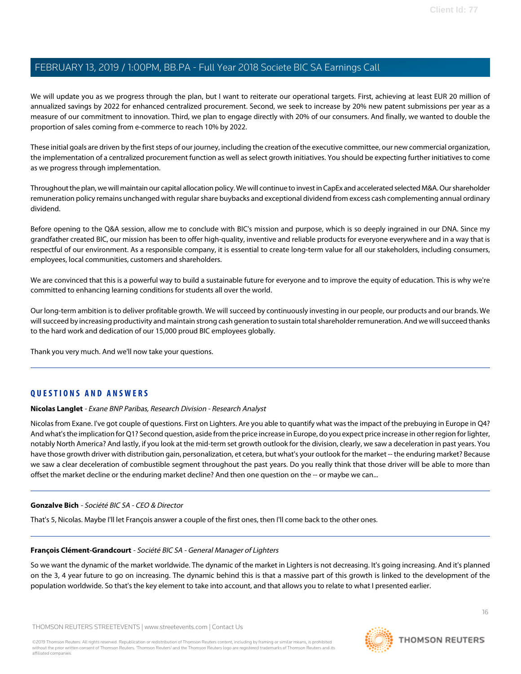We will update you as we progress through the plan, but I want to reiterate our operational targets. First, achieving at least EUR 20 million of annualized savings by 2022 for enhanced centralized procurement. Second, we seek to increase by 20% new patent submissions per year as a measure of our commitment to innovation. Third, we plan to engage directly with 20% of our consumers. And finally, we wanted to double the proportion of sales coming from e-commerce to reach 10% by 2022.

These initial goals are driven by the first steps of our journey, including the creation of the executive committee, our new commercial organization, the implementation of a centralized procurement function as well as select growth initiatives. You should be expecting further initiatives to come as we progress through implementation.

Throughout the plan, we will maintain our capital allocation policy. We will continue to invest in CapEx and accelerated selected M&A. Our shareholder remuneration policy remains unchanged with regular share buybacks and exceptional dividend from excess cash complementing annual ordinary dividend.

Before opening to the Q&A session, allow me to conclude with BIC's mission and purpose, which is so deeply ingrained in our DNA. Since my grandfather created BIC, our mission has been to offer high-quality, inventive and reliable products for everyone everywhere and in a way that is respectful of our environment. As a responsible company, it is essential to create long-term value for all our stakeholders, including consumers, employees, local communities, customers and shareholders.

We are convinced that this is a powerful way to build a sustainable future for everyone and to improve the equity of education. This is why we're committed to enhancing learning conditions for students all over the world.

Our long-term ambition is to deliver profitable growth. We will succeed by continuously investing in our people, our products and our brands. We will succeed by increasing productivity and maintain strong cash generation to sustain total shareholder remuneration. And we will succeed thanks to the hard work and dedication of our 15,000 proud BIC employees globally.

<span id="page-15-0"></span>Thank you very much. And we'll now take your questions.

### **QUESTIONS AND ANSWERS**

#### **Nicolas Langlet** - Exane BNP Paribas, Research Division - Research Analyst

Nicolas from Exane. I've got couple of questions. First on Lighters. Are you able to quantify what was the impact of the prebuying in Europe in Q4? And what's the implication for Q1? Second question, aside from the price increase in Europe, do you expect price increase in other region for lighter, notably North America? And lastly, if you look at the mid-term set growth outlook for the division, clearly, we saw a deceleration in past years. You have those growth driver with distribution gain, personalization, et cetera, but what's your outlook for the market -- the enduring market? Because we saw a clear deceleration of combustible segment throughout the past years. Do you really think that those driver will be able to more than offset the market decline or the enduring market decline? And then one question on the -- or maybe we can...

#### **Gonzalve Bich** - Société BIC SA - CEO & Director

That's 5, Nicolas. Maybe I'll let François answer a couple of the first ones, then I'll come back to the other ones.

#### **François Clément-Grandcourt** - Société BIC SA - General Manager of Lighters

So we want the dynamic of the market worldwide. The dynamic of the market in Lighters is not decreasing. It's going increasing. And it's planned on the 3, 4 year future to go on increasing. The dynamic behind this is that a massive part of this growth is linked to the development of the population worldwide. So that's the key element to take into account, and that allows you to relate to what I presented earlier.

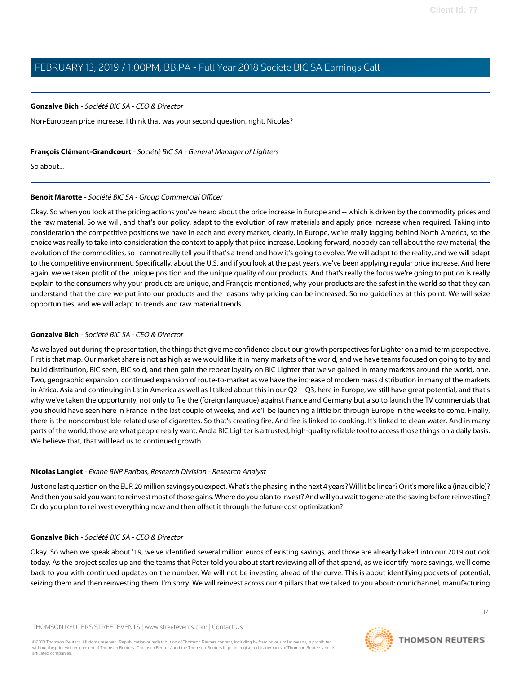#### **Gonzalve Bich** - Société BIC SA - CEO & Director

Non-European price increase, I think that was your second question, right, Nicolas?

#### **François Clément-Grandcourt** - Société BIC SA - General Manager of Lighters

So about...

#### **Benoit Marotte** - Société BIC SA - Group Commercial Officer

Okay. So when you look at the pricing actions you've heard about the price increase in Europe and -- which is driven by the commodity prices and the raw material. So we will, and that's our policy, adapt to the evolution of raw materials and apply price increase when required. Taking into consideration the competitive positions we have in each and every market, clearly, in Europe, we're really lagging behind North America, so the choice was really to take into consideration the context to apply that price increase. Looking forward, nobody can tell about the raw material, the evolution of the commodities, so I cannot really tell you if that's a trend and how it's going to evolve. We will adapt to the reality, and we will adapt to the competitive environment. Specifically, about the U.S. and if you look at the past years, we've been applying regular price increase. And here again, we've taken profit of the unique position and the unique quality of our products. And that's really the focus we're going to put on is really explain to the consumers why your products are unique, and François mentioned, why your products are the safest in the world so that they can understand that the care we put into our products and the reasons why pricing can be increased. So no guidelines at this point. We will seize opportunities, and we will adapt to trends and raw material trends.

#### **Gonzalve Bich** - Société BIC SA - CEO & Director

As we layed out during the presentation, the things that give me confidence about our growth perspectives for Lighter on a mid-term perspective. First is that map. Our market share is not as high as we would like it in many markets of the world, and we have teams focused on going to try and build distribution, BIC seen, BIC sold, and then gain the repeat loyalty on BIC Lighter that we've gained in many markets around the world, one. Two, geographic expansion, continued expansion of route-to-market as we have the increase of modern mass distribution in many of the markets in Africa, Asia and continuing in Latin America as well as I talked about this in our Q2 -- Q3, here in Europe, we still have great potential, and that's why we've taken the opportunity, not only to file the (foreign language) against France and Germany but also to launch the TV commercials that you should have seen here in France in the last couple of weeks, and we'll be launching a little bit through Europe in the weeks to come. Finally, there is the noncombustible-related use of cigarettes. So that's creating fire. And fire is linked to cooking. It's linked to clean water. And in many parts of the world, those are what people really want. And a BIC Lighter is a trusted, high-quality reliable tool to access those things on a daily basis. We believe that, that will lead us to continued growth.

#### **Nicolas Langlet** - Exane BNP Paribas, Research Division - Research Analyst

Just one last question on the EUR 20 million savings you expect. What's the phasing in the next 4 years? Will it be linear? Or it's more like a (inaudible)? And then you said you want to reinvest most of those gains. Where do you plan to invest? And will you wait to generate the saving before reinvesting? Or do you plan to reinvest everything now and then offset it through the future cost optimization?

#### **Gonzalve Bich** - Société BIC SA - CEO & Director

Okay. So when we speak about '19, we've identified several million euros of existing savings, and those are already baked into our 2019 outlook today. As the project scales up and the teams that Peter told you about start reviewing all of that spend, as we identify more savings, we'll come back to you with continued updates on the number. We will not be investing ahead of the curve. This is about identifying pockets of potential, seizing them and then reinvesting them. I'm sorry. We will reinvest across our 4 pillars that we talked to you about: omnichannel, manufacturing

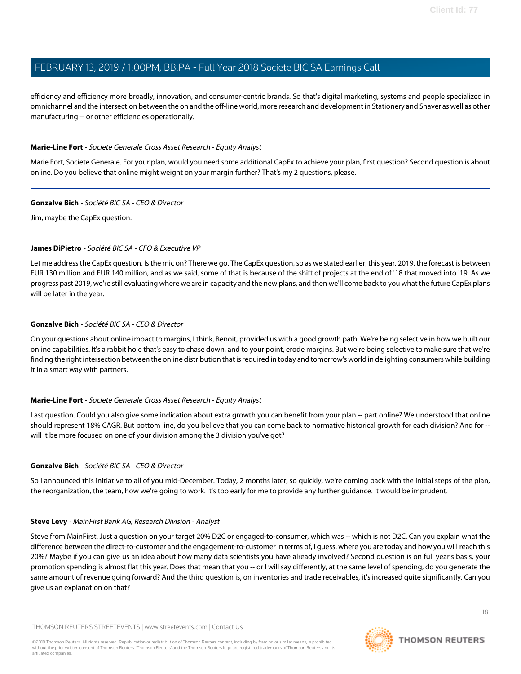efficiency and efficiency more broadly, innovation, and consumer-centric brands. So that's digital marketing, systems and people specialized in omnichannel and the intersection between the on and the off-line world, more research and development in Stationery and Shaver as well as other manufacturing -- or other efficiencies operationally.

#### <span id="page-17-0"></span>**Marie-Line Fort** - Societe Generale Cross Asset Research - Equity Analyst

Marie Fort, Societe Generale. For your plan, would you need some additional CapEx to achieve your plan, first question? Second question is about online. Do you believe that online might weight on your margin further? That's my 2 questions, please.

#### **Gonzalve Bich** - Société BIC SA - CEO & Director

Jim, maybe the CapEx question.

### **James DiPietro** - Société BIC SA - CFO & Executive VP

Let me address the CapEx question. Is the mic on? There we go. The CapEx question, so as we stated earlier, this year, 2019, the forecast is between EUR 130 million and EUR 140 million, and as we said, some of that is because of the shift of projects at the end of '18 that moved into '19. As we progress past 2019, we're still evaluating where we are in capacity and the new plans, and then we'll come back to you what the future CapEx plans will be later in the year.

#### **Gonzalve Bich** - Société BIC SA - CEO & Director

On your questions about online impact to margins, I think, Benoit, provided us with a good growth path. We're being selective in how we built our online capabilities. It's a rabbit hole that's easy to chase down, and to your point, erode margins. But we're being selective to make sure that we're finding the right intersection between the online distribution that is required in today and tomorrow's world in delighting consumers while building it in a smart way with partners.

### **Marie-Line Fort** - Societe Generale Cross Asset Research - Equity Analyst

Last question. Could you also give some indication about extra growth you can benefit from your plan -- part online? We understood that online should represent 18% CAGR. But bottom line, do you believe that you can come back to normative historical growth for each division? And for - will it be more focused on one of your division among the 3 division you've got?

#### <span id="page-17-1"></span>**Gonzalve Bich** - Société BIC SA - CEO & Director

So I announced this initiative to all of you mid-December. Today, 2 months later, so quickly, we're coming back with the initial steps of the plan, the reorganization, the team, how we're going to work. It's too early for me to provide any further guidance. It would be imprudent.

#### **Steve Levy** - MainFirst Bank AG, Research Division - Analyst

Steve from MainFirst. Just a question on your target 20% D2C or engaged-to-consumer, which was -- which is not D2C. Can you explain what the difference between the direct-to-customer and the engagement-to-customer in terms of, I guess, where you are today and how you will reach this 20%? Maybe if you can give us an idea about how many data scientists you have already involved? Second question is on full year's basis, your promotion spending is almost flat this year. Does that mean that you -- or I will say differently, at the same level of spending, do you generate the same amount of revenue going forward? And the third question is, on inventories and trade receivables, it's increased quite significantly. Can you give us an explanation on that?

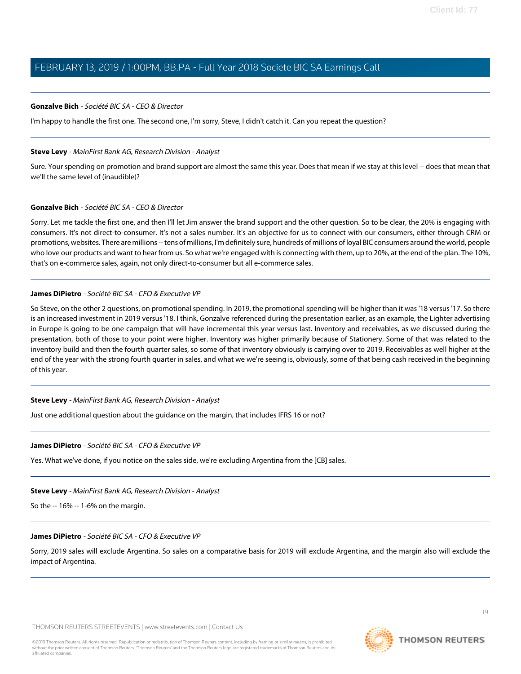#### **Gonzalve Bich** - Société BIC SA - CEO & Director

I'm happy to handle the first one. The second one, I'm sorry, Steve, I didn't catch it. Can you repeat the question?

#### **Steve Levy** - MainFirst Bank AG, Research Division - Analyst

Sure. Your spending on promotion and brand support are almost the same this year. Does that mean if we stay at this level -- does that mean that we'll the same level of (inaudible)?

#### **Gonzalve Bich** - Société BIC SA - CEO & Director

Sorry. Let me tackle the first one, and then I'll let Jim answer the brand support and the other question. So to be clear, the 20% is engaging with consumers. It's not direct-to-consumer. It's not a sales number. It's an objective for us to connect with our consumers, either through CRM or promotions, websites. There are millions -- tens of millions, I'm definitely sure, hundreds of millions of loyal BIC consumers around the world, people who love our products and want to hear from us. So what we're engaged with is connecting with them, up to 20%, at the end of the plan. The 10%, that's on e-commerce sales, again, not only direct-to-consumer but all e-commerce sales.

#### **James DiPietro** - Société BIC SA - CFO & Executive VP

So Steve, on the other 2 questions, on promotional spending. In 2019, the promotional spending will be higher than it was '18 versus '17. So there is an increased investment in 2019 versus '18. I think, Gonzalve referenced during the presentation earlier, as an example, the Lighter advertising in Europe is going to be one campaign that will have incremental this year versus last. Inventory and receivables, as we discussed during the presentation, both of those to your point were higher. Inventory was higher primarily because of Stationery. Some of that was related to the inventory build and then the fourth quarter sales, so some of that inventory obviously is carrying over to 2019. Receivables as well higher at the end of the year with the strong fourth quarter in sales, and what we we're seeing is, obviously, some of that being cash received in the beginning of this year.

#### **Steve Levy** - MainFirst Bank AG, Research Division - Analyst

Just one additional question about the guidance on the margin, that includes IFRS 16 or not?

#### **James DiPietro** - Société BIC SA - CFO & Executive VP

Yes. What we've done, if you notice on the sales side, we're excluding Argentina from the [CB] sales.

#### **Steve Levy** - MainFirst Bank AG, Research Division - Analyst

So the -- 16% -- 1-6% on the margin.

#### **James DiPietro** - Société BIC SA - CFO & Executive VP

Sorry, 2019 sales will exclude Argentina. So sales on a comparative basis for 2019 will exclude Argentina, and the margin also will exclude the impact of Argentina.

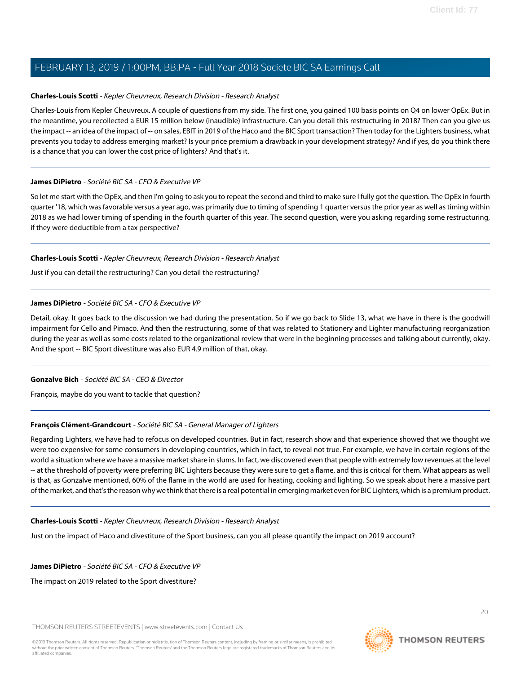### <span id="page-19-0"></span>**Charles-Louis Scotti** - Kepler Cheuvreux, Research Division - Research Analyst

Charles-Louis from Kepler Cheuvreux. A couple of questions from my side. The first one, you gained 100 basis points on Q4 on lower OpEx. But in the meantime, you recollected a EUR 15 million below (inaudible) infrastructure. Can you detail this restructuring in 2018? Then can you give us the impact -- an idea of the impact of -- on sales, EBIT in 2019 of the Haco and the BIC Sport transaction? Then today for the Lighters business, what prevents you today to address emerging market? Is your price premium a drawback in your development strategy? And if yes, do you think there is a chance that you can lower the cost price of lighters? And that's it.

#### **James DiPietro** - Société BIC SA - CFO & Executive VP

So let me start with the OpEx, and then I'm going to ask you to repeat the second and third to make sure I fully got the question. The OpEx in fourth quarter '18, which was favorable versus a year ago, was primarily due to timing of spending 1 quarter versus the prior year as well as timing within 2018 as we had lower timing of spending in the fourth quarter of this year. The second question, were you asking regarding some restructuring, if they were deductible from a tax perspective?

#### **Charles-Louis Scotti** - Kepler Cheuvreux, Research Division - Research Analyst

Just if you can detail the restructuring? Can you detail the restructuring?

#### **James DiPietro** - Société BIC SA - CFO & Executive VP

Detail, okay. It goes back to the discussion we had during the presentation. So if we go back to Slide 13, what we have in there is the goodwill impairment for Cello and Pimaco. And then the restructuring, some of that was related to Stationery and Lighter manufacturing reorganization during the year as well as some costs related to the organizational review that were in the beginning processes and talking about currently, okay. And the sport -- BIC Sport divestiture was also EUR 4.9 million of that, okay.

### **Gonzalve Bich** - Société BIC SA - CEO & Director

François, maybe do you want to tackle that question?

### **François Clément-Grandcourt** - Société BIC SA - General Manager of Lighters

Regarding Lighters, we have had to refocus on developed countries. But in fact, research show and that experience showed that we thought we were too expensive for some consumers in developing countries, which in fact, to reveal not true. For example, we have in certain regions of the world a situation where we have a massive market share in slums. In fact, we discovered even that people with extremely low revenues at the level -- at the threshold of poverty were preferring BIC Lighters because they were sure to get a flame, and this is critical for them. What appears as well is that, as Gonzalve mentioned, 60% of the flame in the world are used for heating, cooking and lighting. So we speak about here a massive part of the market, and that's the reason why we think that there is a real potential in emerging market even for BIC Lighters, which is a premium product.

#### **Charles-Louis Scotti** - Kepler Cheuvreux, Research Division - Research Analyst

Just on the impact of Haco and divestiture of the Sport business, can you all please quantify the impact on 2019 account?

#### **James DiPietro** - Société BIC SA - CFO & Executive VP

The impact on 2019 related to the Sport divestiture?

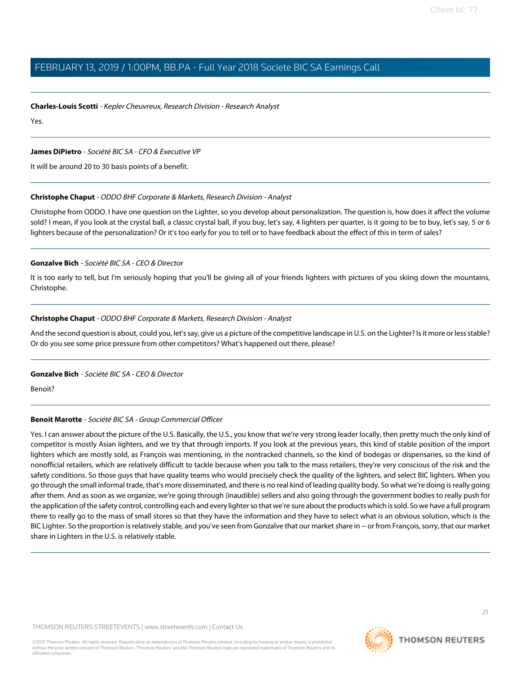#### **Charles-Louis Scotti** - Kepler Cheuvreux, Research Division - Research Analyst

Yes.

#### **James DiPietro** - Société BIC SA - CFO & Executive VP

<span id="page-20-0"></span>It will be around 20 to 30 basis points of a benefit.

#### **Christophe Chaput** - ODDO BHF Corporate & Markets, Research Division - Analyst

Christophe from ODDO. I have one question on the Lighter, so you develop about personalization. The question is, how does it affect the volume sold? I mean, if you look at the crystal ball, a classic crystal ball, if you buy, let's say, 4 lighters per quarter, is it going to be to buy, let's say, 5 or 6 lighters because of the personalization? Or it's too early for you to tell or to have feedback about the effect of this in term of sales?

#### **Gonzalve Bich** - Société BIC SA - CEO & Director

It is too early to tell, but I'm seriously hoping that you'll be giving all of your friends lighters with pictures of you skiing down the mountains, Christophe.

#### **Christophe Chaput** - ODDO BHF Corporate & Markets, Research Division - Analyst

And the second question is about, could you, let's say, give us a picture of the competitive landscape in U.S. on the Lighter? Is it more or less stable? Or do you see some price pressure from other competitors? What's happened out there, please?

#### **Gonzalve Bich** - Société BIC SA - CEO & Director

Benoit?

#### **Benoit Marotte** - Société BIC SA - Group Commercial Officer

Yes. I can answer about the picture of the U.S. Basically, the U.S., you know that we're very strong leader locally, then pretty much the only kind of competitor is mostly Asian lighters, and we try that through imports. If you look at the previous years, this kind of stable position of the import lighters which are mostly sold, as François was mentioning, in the nontracked channels, so the kind of bodegas or dispensaries, so the kind of nonofficial retailers, which are relatively difficult to tackle because when you talk to the mass retailers, they're very conscious of the risk and the safety conditions. So those guys that have quality teams who would precisely check the quality of the lighters, and select BIC lighters. When you go through the small informal trade, that's more disseminated, and there is no real kind of leading quality body. So what we're doing is really going after them. And as soon as we organize, we're going through (inaudible) sellers and also going through the government bodies to really push for the application of the safety control, controlling each and every lighter so that we're sure about the products which is sold. So we have a full program there to really go to the mass of small stores so that they have the information and they have to select what is an obvious solution, which is the BIC Lighter. So the proportion is relatively stable, and you've seen from Gonzalve that our market share in -- or from François, sorry, that our market share in Lighters in the U.S. is relatively stable.

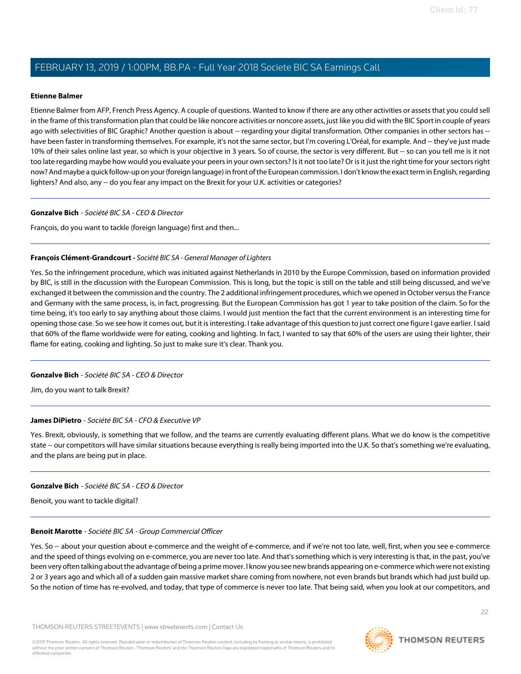#### <span id="page-21-0"></span>**Etienne Balmer**

Etienne Balmer from AFP, French Press Agency. A couple of questions. Wanted to know if there are any other activities or assets that you could sell in the frame of this transformation plan that could be like noncore activities or noncore assets, just like you did with the BIC Sport in couple of years ago with selectivities of BIC Graphic? Another question is about -- regarding your digital transformation. Other companies in other sectors has -have been faster in transforming themselves. For example, it's not the same sector, but I'm covering L'Oréal, for example. And -- they've just made 10% of their sales online last year, so which is your objective in 3 years. So of course, the sector is very different. But -- so can you tell me is it not too late regarding maybe how would you evaluate your peers in your own sectors? Is it not too late? Or is it just the right time for your sectors right now? And maybe a quick follow-up on your (foreign language) in front of the European commission. I don't know the exact term in English, regarding lighters? And also, any -- do you fear any impact on the Brexit for your U.K. activities or categories?

#### **Gonzalve Bich** - Société BIC SA - CEO & Director

François, do you want to tackle (foreign language) first and then...

#### **François Clément-Grandcourt -** Société BIC SA - General Manager of Lighters

Yes. So the infringement procedure, which was initiated against Netherlands in 2010 by the Europe Commission, based on information provided by BIC, is still in the discussion with the European Commission. This is long, but the topic is still on the table and still being discussed, and we've exchanged it between the commission and the country. The 2 additional infringement procedures, which we opened in October versus the France and Germany with the same process, is, in fact, progressing. But the European Commission has got 1 year to take position of the claim. So for the time being, it's too early to say anything about those claims. I would just mention the fact that the current environment is an interesting time for opening those case. So we see how it comes out, but it is interesting. I take advantage of this question to just correct one figure I gave earlier. I said that 60% of the flame worldwide were for eating, cooking and lighting. In fact, I wanted to say that 60% of the users are using their lighter, their flame for eating, cooking and lighting. So just to make sure it's clear. Thank you.

#### **Gonzalve Bich** - Société BIC SA - CEO & Director

Jim, do you want to talk Brexit?

#### **James DiPietro** - Société BIC SA - CFO & Executive VP

Yes. Brexit, obviously, is something that we follow, and the teams are currently evaluating different plans. What we do know is the competitive state -- our competitors will have similar situations because everything is really being imported into the U.K. So that's something we're evaluating, and the plans are being put in place.

#### **Gonzalve Bich** - Société BIC SA - CEO & Director

Benoit, you want to tackle digital?

#### **Benoit Marotte** - Société BIC SA - Group Commercial Officer

Yes. So -- about your question about e-commerce and the weight of e-commerce, and if we're not too late, well, first, when you see e-commerce and the speed of things evolving on e-commerce, you are never too late. And that's something which is very interesting is that, in the past, you've been very often talking about the advantage of being a prime mover. I know you see new brands appearing on e-commerce which were not existing 2 or 3 years ago and which all of a sudden gain massive market share coming from nowhere, not even brands but brands which had just build up. So the notion of time has re-evolved, and today, that type of commerce is never too late. That being said, when you look at our competitors, and

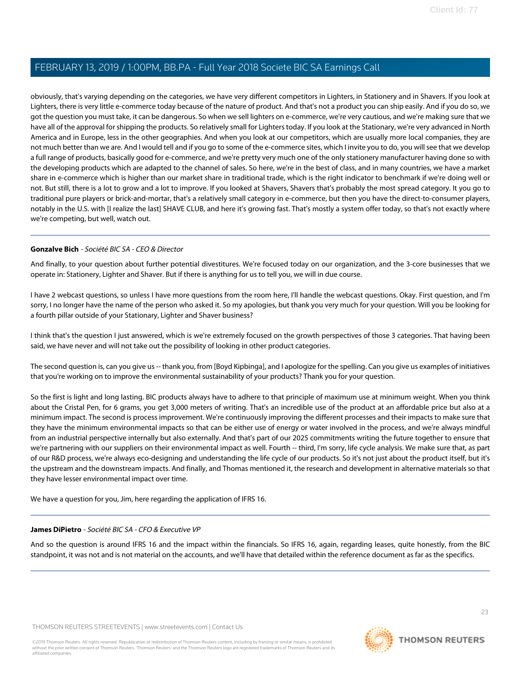obviously, that's varying depending on the categories, we have very different competitors in Lighters, in Stationery and in Shavers. If you look at Lighters, there is very little e-commerce today because of the nature of product. And that's not a product you can ship easily. And if you do so, we got the question you must take, it can be dangerous. So when we sell lighters on e-commerce, we're very cautious, and we're making sure that we have all of the approval for shipping the products. So relatively small for Lighters today. If you look at the Stationary, we're very advanced in North America and in Europe, less in the other geographies. And when you look at our competitors, which are usually more local companies, they are not much better than we are. And I would tell and if you go to some of the e-commerce sites, which I invite you to do, you will see that we develop a full range of products, basically good for e-commerce, and we're pretty very much one of the only stationery manufacturer having done so with the developing products which are adapted to the channel of sales. So here, we're in the best of class, and in many countries, we have a market share in e-commerce which is higher than our market share in traditional trade, which is the right indicator to benchmark if we're doing well or not. But still, there is a lot to grow and a lot to improve. If you looked at Shavers, Shavers that's probably the most spread category. It you go to traditional pure players or brick-and-mortar, that's a relatively small category in e-commerce, but then you have the direct-to-consumer players, notably in the U.S. with [I realize the last] SHAVE CLUB, and here it's growing fast. That's mostly a system offer today, so that's not exactly where we're competing, but well, watch out.

#### **Gonzalve Bich** - Société BIC SA - CEO & Director

And finally, to your question about further potential divestitures. We're focused today on our organization, and the 3-core businesses that we operate in: Stationery, Lighter and Shaver. But if there is anything for us to tell you, we will in due course.

I have 2 webcast questions, so unless I have more questions from the room here, I'll handle the webcast questions. Okay. First question, and I'm sorry, I no longer have the name of the person who asked it. So my apologies, but thank you very much for your question. Will you be looking for a fourth pillar outside of your Stationary, Lighter and Shaver business?

I think that's the question I just answered, which is we're extremely focused on the growth perspectives of those 3 categories. That having been said, we have never and will not take out the possibility of looking in other product categories.

The second question is, can you give us -- thank you, from [Boyd Kipbinga], and I apologize for the spelling. Can you give us examples of initiatives that you're working on to improve the environmental sustainability of your products? Thank you for your question.

So the first is light and long lasting. BIC products always have to adhere to that principle of maximum use at minimum weight. When you think about the Cristal Pen, for 6 grams, you get 3,000 meters of writing. That's an incredible use of the product at an affordable price but also at a minimum impact. The second is process improvement. We're continuously improving the different processes and their impacts to make sure that they have the minimum environmental impacts so that can be either use of energy or water involved in the process, and we're always mindful from an industrial perspective internally but also externally. And that's part of our 2025 commitments writing the future together to ensure that we're partnering with our suppliers on their environmental impact as well. Fourth -- third, I'm sorry, life cycle analysis. We make sure that, as part of our R&D process, we're always eco-designing and understanding the life cycle of our products. So it's not just about the product itself, but it's the upstream and the downstream impacts. And finally, and Thomas mentioned it, the research and development in alternative materials so that they have lesser environmental impact over time.

We have a question for you, Jim, here regarding the application of IFRS 16.

#### **James DiPietro** - Société BIC SA - CFO & Executive VP

And so the question is around IFRS 16 and the impact within the financials. So IFRS 16, again, regarding leases, quite honestly, from the BIC standpoint, it was not and is not material on the accounts, and we'll have that detailed within the reference document as far as the specifics.